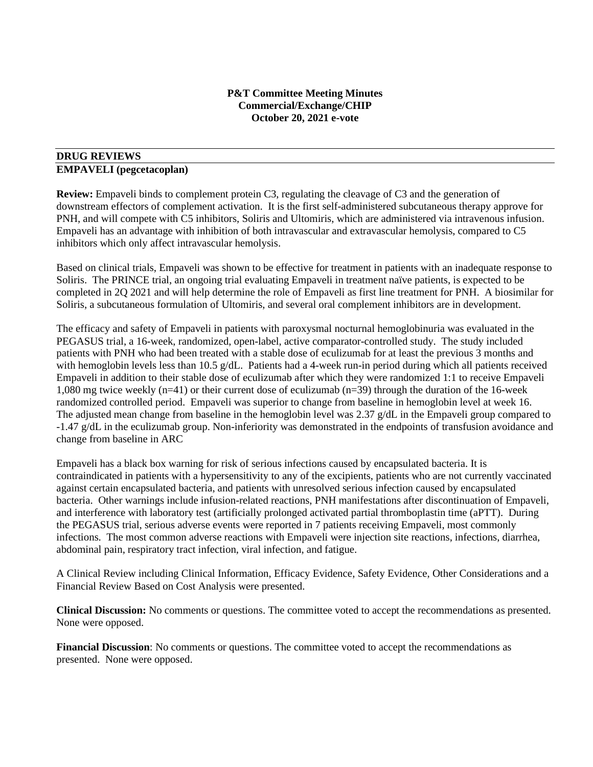### **P&T Committee Meeting Minutes Commercial/Exchange/CHIP October 20, 2021 e-vote**

# **DRUG REVIEWS**

### **EMPAVELI (pegcetacoplan)**

**Review:** Empaveli binds to complement protein C3, regulating the cleavage of C3 and the generation of downstream effectors of complement activation. It is the first self-administered subcutaneous therapy approve for PNH, and will compete with C5 inhibitors, Soliris and Ultomiris, which are administered via intravenous infusion. Empaveli has an advantage with inhibition of both intravascular and extravascular hemolysis, compared to C5 inhibitors which only affect intravascular hemolysis.

Based on clinical trials, Empaveli was shown to be effective for treatment in patients with an inadequate response to Soliris. The PRINCE trial, an ongoing trial evaluating Empaveli in treatment naïve patients, is expected to be completed in 2Q 2021 and will help determine the role of Empaveli as first line treatment for PNH. A biosimilar for Soliris, a subcutaneous formulation of Ultomiris, and several oral complement inhibitors are in development.

The efficacy and safety of Empaveli in patients with paroxysmal nocturnal hemoglobinuria was evaluated in the PEGASUS trial, a 16-week, randomized, open-label, active comparator-controlled study. The study included patients with PNH who had been treated with a stable dose of eculizumab for at least the previous 3 months and with hemoglobin levels less than 10.5 g/dL. Patients had a 4-week run-in period during which all patients received Empaveli in addition to their stable dose of eculizumab after which they were randomized 1:1 to receive Empaveli 1,080 mg twice weekly (n=41) or their current dose of eculizumab (n=39) through the duration of the 16-week randomized controlled period. Empaveli was superior to change from baseline in hemoglobin level at week 16. The adjusted mean change from baseline in the hemoglobin level was 2.37 g/dL in the Empaveli group compared to -1.47 g/dL in the eculizumab group. Non-inferiority was demonstrated in the endpoints of transfusion avoidance and change from baseline in ARC

Empaveli has a black box warning for risk of serious infections caused by encapsulated bacteria. It is contraindicated in patients with a hypersensitivity to any of the excipients, patients who are not currently vaccinated against certain encapsulated bacteria, and patients with unresolved serious infection caused by encapsulated bacteria. Other warnings include infusion-related reactions, PNH manifestations after discontinuation of Empaveli, and interference with laboratory test (artificially prolonged activated partial thromboplastin time (aPTT). During the PEGASUS trial, serious adverse events were reported in 7 patients receiving Empaveli, most commonly infections. The most common adverse reactions with Empaveli were injection site reactions, infections, diarrhea, abdominal pain, respiratory tract infection, viral infection, and fatigue.

A Clinical Review including Clinical Information, Efficacy Evidence, Safety Evidence, Other Considerations and a Financial Review Based on Cost Analysis were presented.

**Clinical Discussion:** No comments or questions. The committee voted to accept the recommendations as presented. None were opposed.

**Financial Discussion**: No comments or questions. The committee voted to accept the recommendations as presented. None were opposed.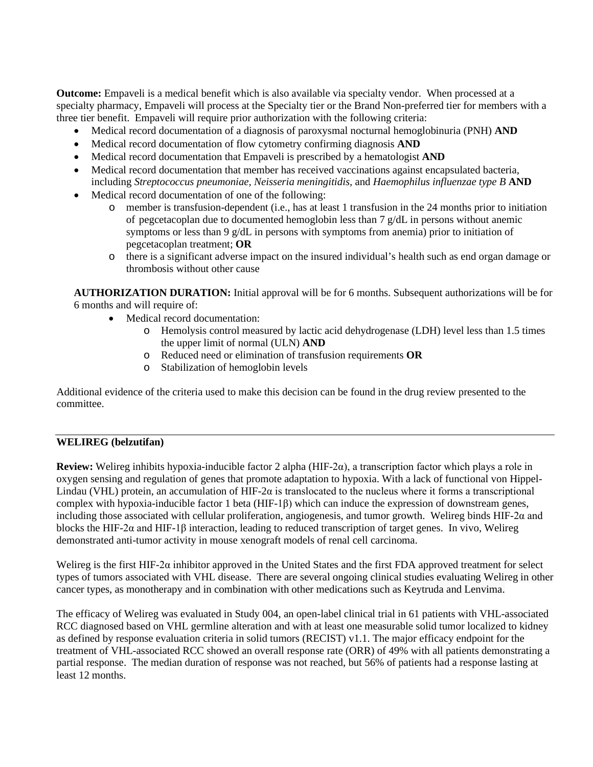**Outcome:** Empaveli is a medical benefit which is also available via specialty vendor. When processed at a specialty pharmacy, Empaveli will process at the Specialty tier or the Brand Non-preferred tier for members with a three tier benefit. Empaveli will require prior authorization with the following criteria:

- Medical record documentation of a diagnosis of paroxysmal nocturnal hemoglobinuria (PNH) **AND**
- Medical record documentation of flow cytometry confirming diagnosis **AND**
- Medical record documentation that Empaveli is prescribed by a hematologist **AND**
- Medical record documentation that member has received vaccinations against encapsulated bacteria, including *Streptococcus pneumoniae, Neisseria meningitidis,* and *Haemophilus influenzae type B* **AND**
- Medical record documentation of one of the following:
	- o member is transfusion-dependent (i.e., has at least 1 transfusion in the 24 months prior to initiation of pegcetacoplan due to documented hemoglobin less than 7 g/dL in persons without anemic symptoms or less than 9 g/dL in persons with symptoms from anemia) prior to initiation of pegcetacoplan treatment; **OR**
	- o there is a significant adverse impact on the insured individual's health such as end organ damage or thrombosis without other cause

**AUTHORIZATION DURATION:** Initial approval will be for 6 months. Subsequent authorizations will be for 6 months and will require of:

- Medical record documentation:
	- o Hemolysis control measured by lactic acid dehydrogenase (LDH) level less than 1.5 times the upper limit of normal (ULN) **AND**
	- o Reduced need or elimination of transfusion requirements **OR**
	- o Stabilization of hemoglobin levels

Additional evidence of the criteria used to make this decision can be found in the drug review presented to the committee.

### **WELIREG (belzutifan)**

**Review:** Welireg inhibits hypoxia-inducible factor 2 alpha (HIF-2α), a transcription factor which plays a role in oxygen sensing and regulation of genes that promote adaptation to hypoxia. With a lack of functional von Hippel-Lindau (VHL) protein, an accumulation of HIF-2 $\alpha$  is translocated to the nucleus where it forms a transcriptional complex with hypoxia-inducible factor 1 beta (HIF-1β) which can induce the expression of downstream genes, including those associated with cellular proliferation, angiogenesis, and tumor growth. Welireg binds HIF-2α and blocks the HIF-2α and HIF-1β interaction, leading to reduced transcription of target genes. In vivo, Welireg demonstrated anti-tumor activity in mouse xenograft models of renal cell carcinoma.

Welireg is the first HIF-2 $\alpha$  inhibitor approved in the United States and the first FDA approved treatment for select types of tumors associated with VHL disease. There are several ongoing clinical studies evaluating Welireg in other cancer types, as monotherapy and in combination with other medications such as Keytruda and Lenvima.

The efficacy of Welireg was evaluated in Study 004, an open-label clinical trial in 61 patients with VHL-associated RCC diagnosed based on VHL germline alteration and with at least one measurable solid tumor localized to kidney as defined by response evaluation criteria in solid tumors (RECIST) v1.1. The major efficacy endpoint for the treatment of VHL-associated RCC showed an overall response rate (ORR) of 49% with all patients demonstrating a partial response. The median duration of response was not reached, but 56% of patients had a response lasting at least 12 months.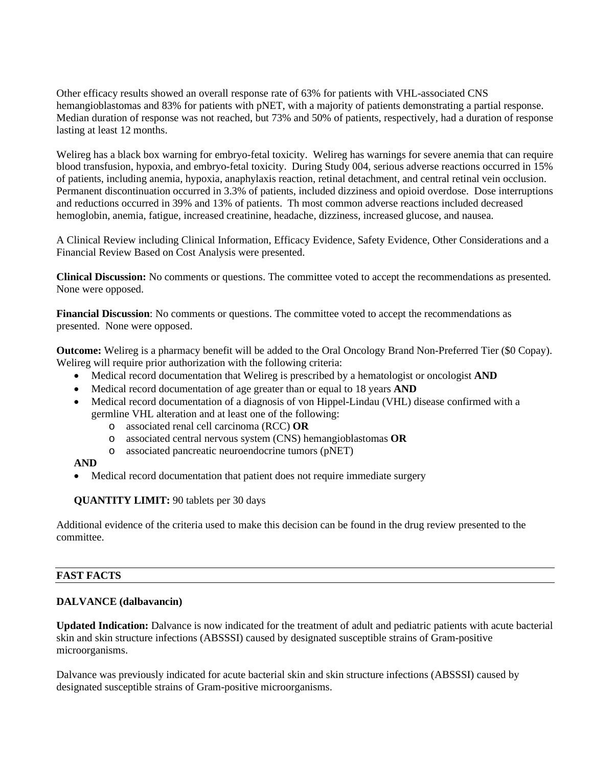Other efficacy results showed an overall response rate of 63% for patients with VHL-associated CNS hemangioblastomas and 83% for patients with pNET, with a majority of patients demonstrating a partial response. Median duration of response was not reached, but 73% and 50% of patients, respectively, had a duration of response lasting at least 12 months.

Welireg has a black box warning for embryo-fetal toxicity. Welireg has warnings for severe anemia that can require blood transfusion, hypoxia, and embryo-fetal toxicity. During Study 004, serious adverse reactions occurred in 15% of patients, including anemia, hypoxia, anaphylaxis reaction, retinal detachment, and central retinal vein occlusion. Permanent discontinuation occurred in 3.3% of patients, included dizziness and opioid overdose. Dose interruptions and reductions occurred in 39% and 13% of patients. Th most common adverse reactions included decreased hemoglobin, anemia, fatigue, increased creatinine, headache, dizziness, increased glucose, and nausea.

A Clinical Review including Clinical Information, Efficacy Evidence, Safety Evidence, Other Considerations and a Financial Review Based on Cost Analysis were presented.

**Clinical Discussion:** No comments or questions. The committee voted to accept the recommendations as presented. None were opposed.

**Financial Discussion**: No comments or questions. The committee voted to accept the recommendations as presented. None were opposed.

**Outcome:** Welireg is a pharmacy benefit will be added to the Oral Oncology Brand Non-Preferred Tier (\$0 Copay). Welireg will require prior authorization with the following criteria:

- Medical record documentation that Welireg is prescribed by a hematologist or oncologist **AND**
- Medical record documentation of age greater than or equal to 18 years **AND**
- Medical record documentation of a diagnosis of von Hippel-Lindau (VHL) disease confirmed with a germline VHL alteration and at least one of the following:
	- o associated renal cell carcinoma (RCC) **OR**
	- o associated central nervous system (CNS) hemangioblastomas **OR**
	- o associated pancreatic neuroendocrine tumors (pNET)

#### **AND**

• Medical record documentation that patient does not require immediate surgery

### **QUANTITY LIMIT:** 90 tablets per 30 days

Additional evidence of the criteria used to make this decision can be found in the drug review presented to the committee.

### **FAST FACTS**

### **DALVANCE (dalbavancin)**

**Updated Indication:** Dalvance is now indicated for the treatment of adult and pediatric patients with acute bacterial skin and skin structure infections (ABSSSI) caused by designated susceptible strains of Gram-positive microorganisms.

Dalvance was previously indicated for acute bacterial skin and skin structure infections (ABSSSI) caused by designated susceptible strains of Gram-positive microorganisms.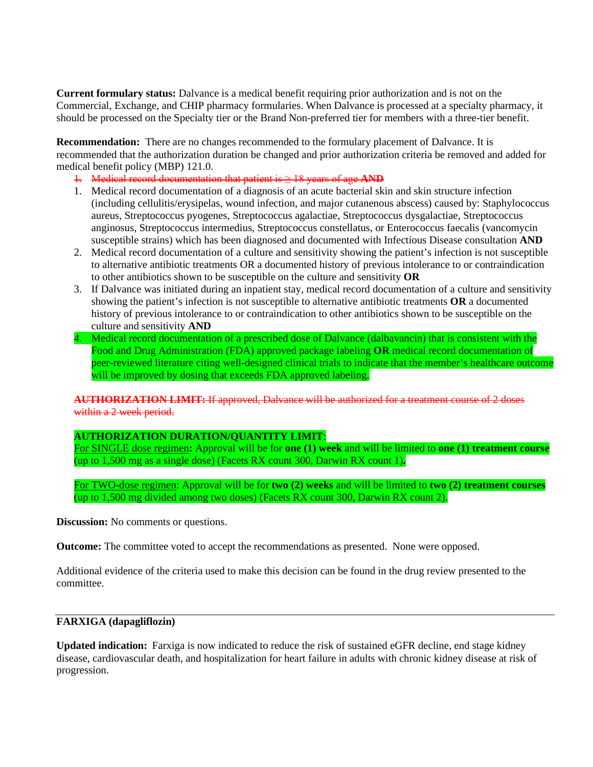**Current formulary status:** Dalvance is a medical benefit requiring prior authorization and is not on the Commercial, Exchange, and CHIP pharmacy formularies. When Dalvance is processed at a specialty pharmacy, it should be processed on the Specialty tier or the Brand Non-preferred tier for members with a three-tier benefit.

**Recommendation:** There are no changes recommended to the formulary placement of Dalvance. It is recommended that the authorization duration be changed and prior authorization criteria be removed and added for medical benefit policy (MBP) 121.0.

- 1. Medical record documentation that patient is ≥ 18 years of age **AND**
- 1. Medical record documentation of a diagnosis of an acute bacterial skin and skin structure infection (including cellulitis/erysipelas, wound infection, and major cutanenous abscess) caused by: Staphylococcus aureus, Streptococcus pyogenes, Streptococcus agalactiae, Streptococcus dysgalactiae, Streptococcus anginosus, Streptococcus intermedius, Streptococcus constellatus, or Enterococcus faecalis (vancomycin susceptible strains) which has been diagnosed and documented with Infectious Disease consultation **AND**
- 2. Medical record documentation of a culture and sensitivity showing the patient's infection is not susceptible to alternative antibiotic treatments OR a documented history of previous intolerance to or contraindication to other antibiotics shown to be susceptible on the culture and sensitivity **OR**
- 3. If Dalvance was initiated during an inpatient stay, medical record documentation of a culture and sensitivity showing the patient's infection is not susceptible to alternative antibiotic treatments **OR** a documented history of previous intolerance to or contraindication to other antibiotics shown to be susceptible on the culture and sensitivity **AND**
- 4. Medical record documentation of a prescribed dose of Dalvance (dalbavancin) that is consistent with the Food and Drug Administration (FDA) approved package labeling **OR** medical record documentation of peer-reviewed literature citing well-designed clinical trials to indicate that the member's healthcare outcome will be improved by dosing that exceeds FDA approved labeling.

**AUTHORIZATION LIMIT:** If approved, Dalvance will be authorized for a treatment course of 2 doses within a 2 week period.

### **AUTHORIZATION DURATION/QUANTITY LIMIT**:

For SINGLE dose regimen**:** Approval will be for **one (1) week** and will be limited to **one (1) treatment course**  (up to 1,500 mg as a single dose) (Facets RX count 300, Darwin RX count 1)**.** 

For TWO-dose regimen: Approval will be for **two (2) weeks** and will be limited to **two (2) treatment courses**  (up to 1,500 mg divided among two doses) (Facets RX count 300, Darwin RX count 2).

**Discussion:** No comments or questions.

**Outcome:** The committee voted to accept the recommendations as presented. None were opposed.

Additional evidence of the criteria used to make this decision can be found in the drug review presented to the committee.

#### **FARXIGA (dapagliflozin)**

**Updated indication:** Farxiga is now indicated to reduce the risk of sustained eGFR decline, end stage kidney disease, cardiovascular death, and hospitalization for heart failure in adults with chronic kidney disease at risk of progression.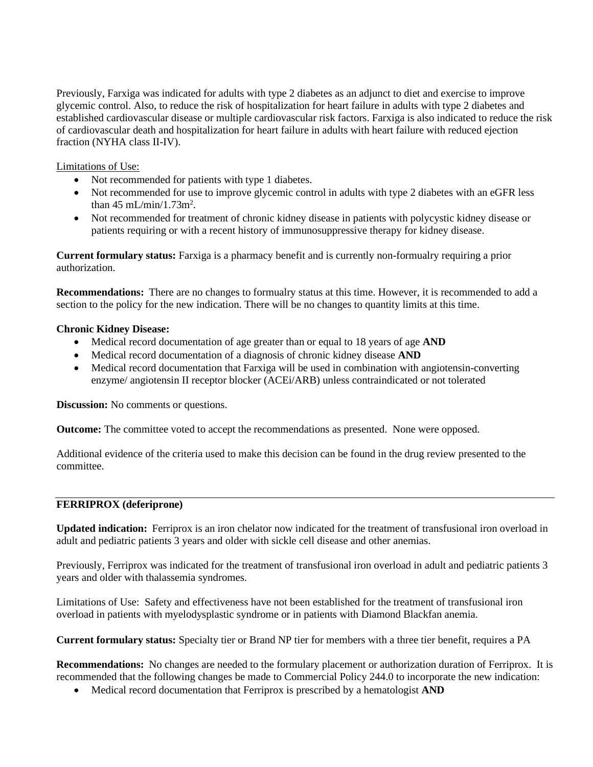Previously, Farxiga was indicated for adults with type 2 diabetes as an adjunct to diet and exercise to improve glycemic control. Also, to reduce the risk of hospitalization for heart failure in adults with type 2 diabetes and established cardiovascular disease or multiple cardiovascular risk factors. Farxiga is also indicated to reduce the risk of cardiovascular death and hospitalization for heart failure in adults with heart failure with reduced ejection fraction (NYHA class II-IV).

Limitations of Use:

- Not recommended for patients with type 1 diabetes.
- Not recommended for use to improve glycemic control in adults with type 2 diabetes with an eGFR less than  $45 \text{ mL/min}/1.73 \text{m}^2$ .
- Not recommended for treatment of chronic kidney disease in patients with polycystic kidney disease or patients requiring or with a recent history of immunosuppressive therapy for kidney disease.

**Current formulary status:** Farxiga is a pharmacy benefit and is currently non-formualry requiring a prior authorization.

**Recommendations:** There are no changes to formualry status at this time. However, it is recommended to add a section to the policy for the new indication. There will be no changes to quantity limits at this time.

### **Chronic Kidney Disease:**

- Medical record documentation of age greater than or equal to 18 years of age **AND**
- Medical record documentation of a diagnosis of chronic kidney disease **AND**
- Medical record documentation that Farxiga will be used in combination with angiotensin-converting enzyme/ angiotensin II receptor blocker (ACEi/ARB) unless contraindicated or not tolerated

**Discussion:** No comments or questions.

**Outcome:** The committee voted to accept the recommendations as presented. None were opposed.

Additional evidence of the criteria used to make this decision can be found in the drug review presented to the committee.

### **FERRIPROX (deferiprone)**

**Updated indication:** Ferriprox is an iron chelator now indicated for the treatment of transfusional iron overload in adult and pediatric patients 3 years and older with sickle cell disease and other anemias.

Previously, Ferriprox was indicated for the treatment of transfusional iron overload in adult and pediatric patients 3 years and older with thalassemia syndromes.

Limitations of Use: Safety and effectiveness have not been established for the treatment of transfusional iron overload in patients with myelodysplastic syndrome or in patients with Diamond Blackfan anemia.

**Current formulary status:** Specialty tier or Brand NP tier for members with a three tier benefit, requires a PA

**Recommendations:** No changes are needed to the formulary placement or authorization duration of Ferriprox. It is recommended that the following changes be made to Commercial Policy 244.0 to incorporate the new indication:

• Medical record documentation that Ferriprox is prescribed by a hematologist **AND**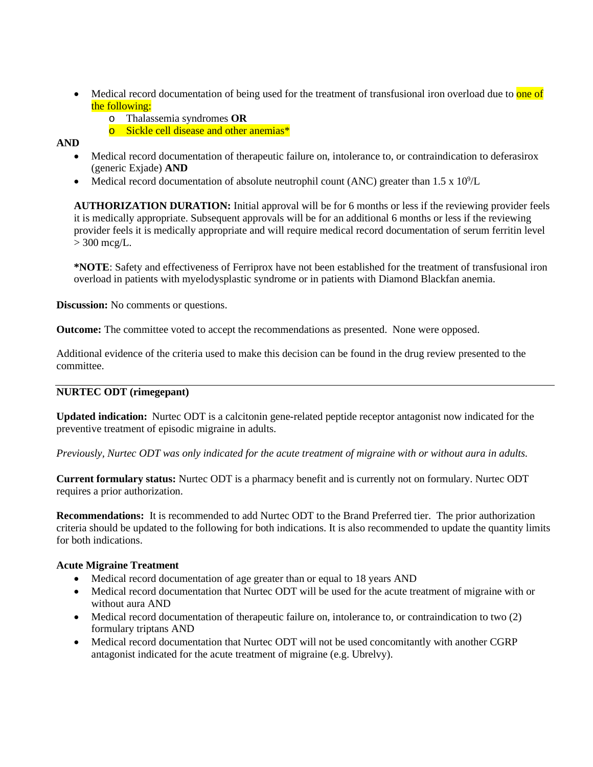- Medical record documentation of being used for the treatment of transfusional iron overload due to one of the following:
	- o Thalassemia syndromes **OR**
	- o Sickle cell disease and other anemias\*

### **AND**

- Medical record documentation of therapeutic failure on, intolerance to, or contraindication to deferasirox (generic Exjade) **AND**
- Medical record documentation of absolute neutrophil count (ANC) greater than  $1.5 \times 10^9$ /L

**AUTHORIZATION DURATION:** Initial approval will be for 6 months or less if the reviewing provider feels it is medically appropriate. Subsequent approvals will be for an additional 6 months or less if the reviewing provider feels it is medically appropriate and will require medical record documentation of serum ferritin level  $>$  300 mcg/L.

**\*NOTE**: Safety and effectiveness of Ferriprox have not been established for the treatment of transfusional iron overload in patients with myelodysplastic syndrome or in patients with Diamond Blackfan anemia.

**Discussion:** No comments or questions.

**Outcome:** The committee voted to accept the recommendations as presented. None were opposed.

Additional evidence of the criteria used to make this decision can be found in the drug review presented to the committee.

### **NURTEC ODT (rimegepant)**

**Updated indication:** Nurtec ODT is a calcitonin gene-related peptide receptor antagonist now indicated for the preventive treatment of episodic migraine in adults.

### *Previously, Nurtec ODT was only indicated for the acute treatment of migraine with or without aura in adults.*

**Current formulary status:** Nurtec ODT is a pharmacy benefit and is currently not on formulary. Nurtec ODT requires a prior authorization.

**Recommendations:** It is recommended to add Nurtec ODT to the Brand Preferred tier. The prior authorization criteria should be updated to the following for both indications. It is also recommended to update the quantity limits for both indications.

### **Acute Migraine Treatment**

- Medical record documentation of age greater than or equal to 18 years AND
- Medical record documentation that Nurtec ODT will be used for the acute treatment of migraine with or without aura AND
- Medical record documentation of therapeutic failure on, intolerance to, or contraindication to two  $(2)$ formulary triptans AND
- Medical record documentation that Nurtec ODT will not be used concomitantly with another CGRP antagonist indicated for the acute treatment of migraine (e.g. Ubrelvy).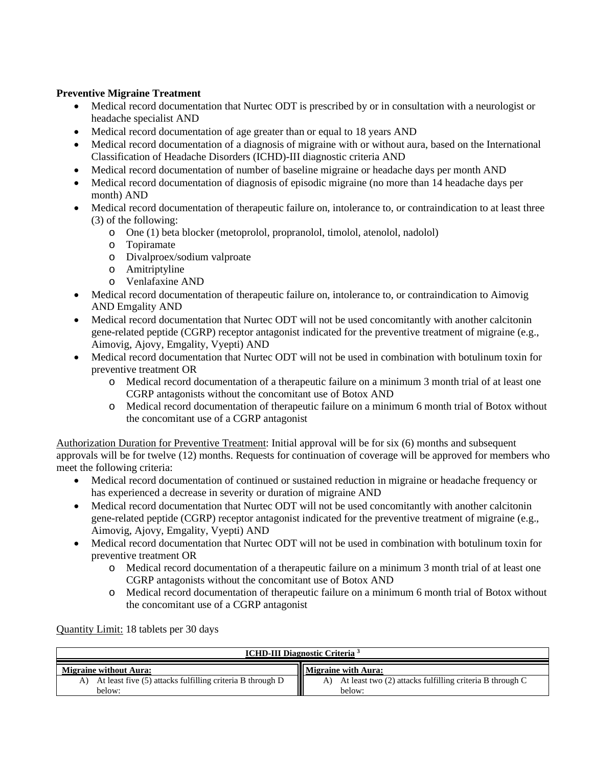### **Preventive Migraine Treatment**

- Medical record documentation that Nurtec ODT is prescribed by or in consultation with a neurologist or headache specialist AND
- Medical record documentation of age greater than or equal to 18 years AND
- Medical record documentation of a diagnosis of migraine with or without aura, based on the International Classification of Headache Disorders (ICHD)-III diagnostic criteria AND
- Medical record documentation of number of baseline migraine or headache days per month AND
- Medical record documentation of diagnosis of episodic migraine (no more than 14 headache days per month) AND
- Medical record documentation of therapeutic failure on, intolerance to, or contraindication to at least three (3) of the following:
	- o One (1) beta blocker (metoprolol, propranolol, timolol, atenolol, nadolol)
	- o Topiramate
	- o Divalproex/sodium valproate
	- o Amitriptyline
	- Venlafaxine AND
- Medical record documentation of therapeutic failure on, intolerance to, or contraindication to Aimovig AND Emgality AND
- Medical record documentation that Nurtec ODT will not be used concomitantly with another calcitonin gene-related peptide (CGRP) receptor antagonist indicated for the preventive treatment of migraine (e.g., Aimovig, Ajovy, Emgality, Vyepti) AND
- Medical record documentation that Nurtec ODT will not be used in combination with botulinum toxin for preventive treatment OR
	- o Medical record documentation of a therapeutic failure on a minimum 3 month trial of at least one CGRP antagonists without the concomitant use of Botox AND
	- o Medical record documentation of therapeutic failure on a minimum 6 month trial of Botox without the concomitant use of a CGRP antagonist

Authorization Duration for Preventive Treatment: Initial approval will be for six (6) months and subsequent approvals will be for twelve (12) months. Requests for continuation of coverage will be approved for members who meet the following criteria:

- Medical record documentation of continued or sustained reduction in migraine or headache frequency or has experienced a decrease in severity or duration of migraine AND
- Medical record documentation that Nurtec ODT will not be used concomitantly with another calcitonin gene-related peptide (CGRP) receptor antagonist indicated for the preventive treatment of migraine (e.g., Aimovig, Ajovy, Emgality, Vyepti) AND
- Medical record documentation that Nurtec ODT will not be used in combination with botulinum toxin for preventive treatment OR
	- o Medical record documentation of a therapeutic failure on a minimum 3 month trial of at least one CGRP antagonists without the concomitant use of Botox AND
	- o Medical record documentation of therapeutic failure on a minimum 6 month trial of Botox without the concomitant use of a CGRP antagonist

Quantity Limit: 18 tablets per 30 days

| <b>ICHD-III Diagnostic Criteria</b> <sup>3</sup>                       |                                                                       |
|------------------------------------------------------------------------|-----------------------------------------------------------------------|
| <b>Migraine without Aura:</b>                                          | <b>Migraine with Aura:</b>                                            |
| A) At least five (5) attacks fulfilling criteria B through D<br>below: | A) At least two (2) attacks fulfilling criteria B through C<br>below: |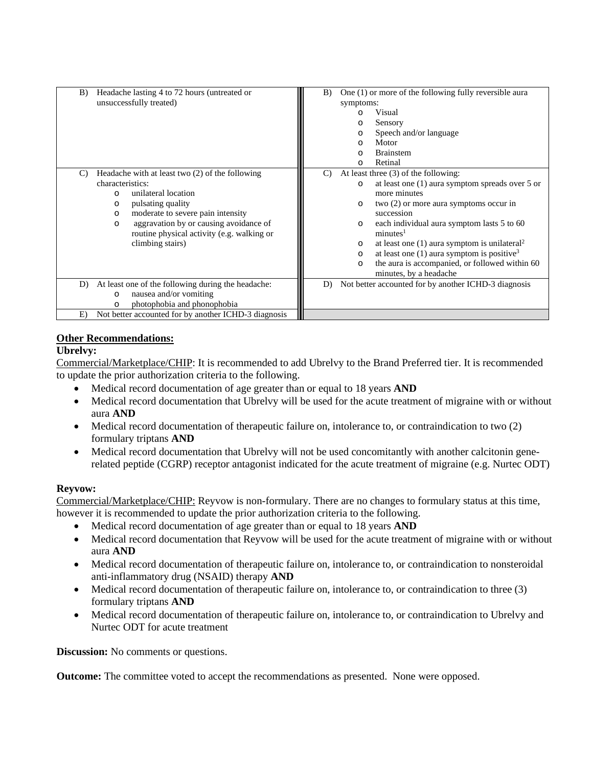| Headache lasting 4 to 72 hours (untreated or<br>B)<br>unsuccessfully treated)                                                                                                                                                                                                                                            | One (1) or more of the following fully reversible aura<br>B)<br>symptoms:<br>Visual<br>C<br>Sensory<br>O<br>Speech and/or language<br>$\circ$<br>Motor<br>$\Omega$<br><b>Brainstem</b><br>$\Omega$<br>Retinal<br>$\Omega$                                                                                                                                                                                                                                                                                                      |
|--------------------------------------------------------------------------------------------------------------------------------------------------------------------------------------------------------------------------------------------------------------------------------------------------------------------------|--------------------------------------------------------------------------------------------------------------------------------------------------------------------------------------------------------------------------------------------------------------------------------------------------------------------------------------------------------------------------------------------------------------------------------------------------------------------------------------------------------------------------------|
| Headache with at least two (2) of the following<br>$\mathcal{C}$<br>characteristics:<br>unilateral location<br>$\Omega$<br>pulsating quality<br>O<br>moderate to severe pain intensity<br>$\circ$<br>aggravation by or causing avoidance of<br>$\circ$<br>routine physical activity (e.g. walking or<br>climbing stairs) | At least three $(3)$ of the following:<br>$\mathcal{C}$<br>at least one $(1)$ aura symptom spreads over 5 or<br>$\circ$<br>more minutes<br>two $(2)$ or more aura symptoms occur in<br>$\circ$<br>succession<br>each individual aura symptom lasts 5 to 60<br>$\circ$<br>minutes <sup>1</sup><br>at least one $(1)$ aura symptom is unilateral <sup>2</sup><br>$\circ$<br>at least one $(1)$ aura symptom is positive <sup>3</sup><br>$\circ$<br>the aura is accompanied, or followed within 60<br>O<br>minutes, by a headache |
| At least one of the following during the headache:<br>D)<br>nausea and/or vomiting<br>$\circ$<br>photophobia and phonophobia<br>$\circ$                                                                                                                                                                                  | Not better accounted for by another ICHD-3 diagnosis<br>D)                                                                                                                                                                                                                                                                                                                                                                                                                                                                     |
| Not better accounted for by another ICHD-3 diagnosis<br>E)                                                                                                                                                                                                                                                               |                                                                                                                                                                                                                                                                                                                                                                                                                                                                                                                                |

# **Other Recommendations:**

### **Ubrelvy:**

Commercial/Marketplace/CHIP: It is recommended to add Ubrelvy to the Brand Preferred tier. It is recommended to update the prior authorization criteria to the following.

- Medical record documentation of age greater than or equal to 18 years **AND**
- Medical record documentation that Ubrelvy will be used for the acute treatment of migraine with or without aura **AND**
- Medical record documentation of therapeutic failure on, intolerance to, or contraindication to two (2) formulary triptans **AND**
- Medical record documentation that Ubrelvy will not be used concomitantly with another calcitonin generelated peptide (CGRP) receptor antagonist indicated for the acute treatment of migraine (e.g. Nurtec ODT)

### **Reyvow:**

Commercial/Marketplace/CHIP: Reyvow is non-formulary. There are no changes to formulary status at this time, however it is recommended to update the prior authorization criteria to the following.

- Medical record documentation of age greater than or equal to 18 years **AND**
- Medical record documentation that Reyvow will be used for the acute treatment of migraine with or without aura **AND**
- Medical record documentation of therapeutic failure on, intolerance to, or contraindication to nonsteroidal anti-inflammatory drug (NSAID) therapy **AND**
- Medical record documentation of therapeutic failure on, intolerance to, or contraindication to three (3) formulary triptans **AND**
- Medical record documentation of therapeutic failure on, intolerance to, or contraindication to Ubrelvy and Nurtec ODT for acute treatment

**Discussion:** No comments or questions.

**Outcome:** The committee voted to accept the recommendations as presented. None were opposed.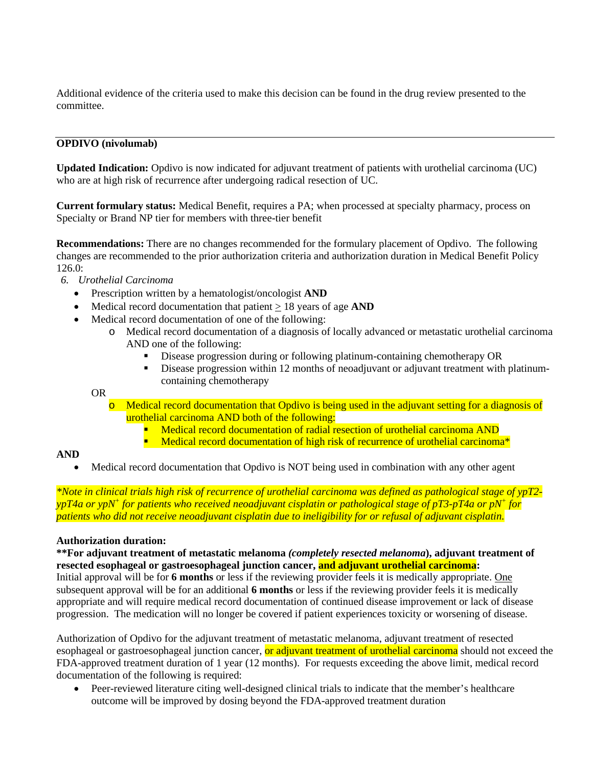Additional evidence of the criteria used to make this decision can be found in the drug review presented to the committee.

### **OPDIVO (nivolumab)**

**Updated Indication:** Opdivo is now indicated for adjuvant treatment of patients with urothelial carcinoma (UC) who are at high risk of recurrence after undergoing radical resection of UC.

**Current formulary status:** Medical Benefit, requires a PA; when processed at specialty pharmacy, process on Specialty or Brand NP tier for members with three-tier benefit

**Recommendations:** There are no changes recommended for the formulary placement of Opdivo. The following changes are recommended to the prior authorization criteria and authorization duration in Medical Benefit Policy 126.0:

- *6. Urothelial Carcinoma*
	- Prescription written by a hematologist/oncologist **AND**
	- Medical record documentation that patient > 18 years of age **AND**
	- Medical record documentation of one of the following:
		- o Medical record documentation of a diagnosis of locally advanced or metastatic urothelial carcinoma AND one of the following:
			- Disease progression during or following platinum-containing chemotherapy OR
			- Disease progression within 12 months of neoadjuvant or adjuvant treatment with platinumcontaining chemotherapy

OR

- Medical record documentation that Opdivo is being used in the adjuvant setting for a diagnosis of urothelial carcinoma AND both of the following:
	- **Medical record documentation of radial resection of urothelial carcinoma AND**
	- **•** Medical record documentation of high risk of recurrence of urothelial carcinoma<sup>\*</sup>

### **AND**

• Medical record documentation that Opdivo is NOT being used in combination with any other agent

*\*Note in clinical trials high risk of recurrence of urothelial carcinoma was defined as pathological stage of ypT2 ypT4a or ypN+ for patients who received neoadjuvant cisplatin or pathological stage of pT3-pT4a or pN+ for patients who did not receive neoadjuvant cisplatin due to ineligibility for or refusal of adjuvant cisplatin.*

### **Authorization duration:**

### **\*\*For adjuvant treatment of metastatic melanoma** *(completely resected melanoma***), adjuvant treatment of resected esophageal or gastroesophageal junction cancer, and adjuvant urothelial carcinoma:**

Initial approval will be for **6 months** or less if the reviewing provider feels it is medically appropriate. One subsequent approval will be for an additional **6 months** or less if the reviewing provider feels it is medically appropriate and will require medical record documentation of continued disease improvement or lack of disease progression. The medication will no longer be covered if patient experiences toxicity or worsening of disease.

Authorization of Opdivo for the adjuvant treatment of metastatic melanoma, adjuvant treatment of resected esophageal or gastroesophageal junction cancer, or adjuvant treatment of urothelial carcinoma should not exceed the FDA-approved treatment duration of 1 year (12 months). For requests exceeding the above limit, medical record documentation of the following is required:

• Peer-reviewed literature citing well-designed clinical trials to indicate that the member's healthcare outcome will be improved by dosing beyond the FDA-approved treatment duration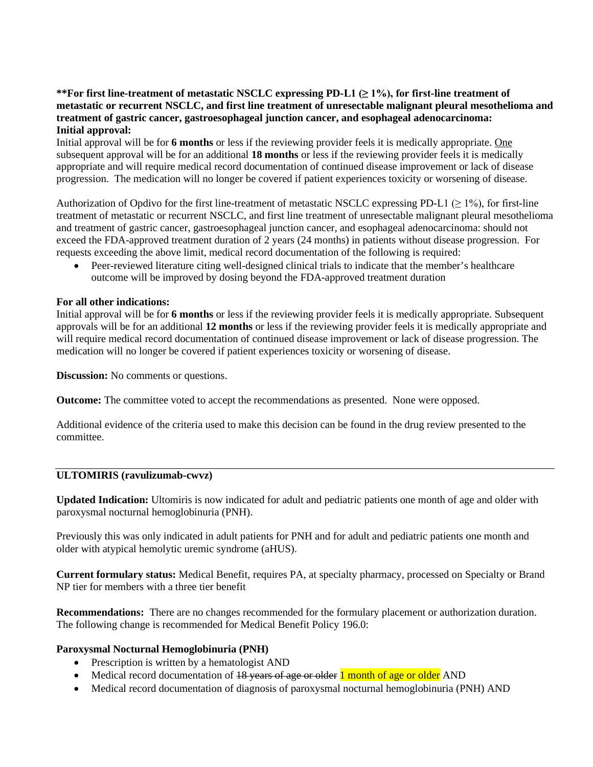### **\*\*For first line-treatment of metastatic NSCLC expressing PD-L1 (≥ 1%), for first-line treatment of metastatic or recurrent NSCLC, and first line treatment of unresectable malignant pleural mesothelioma and treatment of gastric cancer, gastroesophageal junction cancer, and esophageal adenocarcinoma: Initial approval:**

Initial approval will be for **6 months** or less if the reviewing provider feels it is medically appropriate. One subsequent approval will be for an additional **18 months** or less if the reviewing provider feels it is medically appropriate and will require medical record documentation of continued disease improvement or lack of disease progression. The medication will no longer be covered if patient experiences toxicity or worsening of disease.

Authorization of Opdivo for the first line-treatment of metastatic NSCLC expressing PD-L1 ( $\geq$  1%), for first-line treatment of metastatic or recurrent NSCLC, and first line treatment of unresectable malignant pleural mesothelioma and treatment of gastric cancer, gastroesophageal junction cancer, and esophageal adenocarcinoma: should not exceed the FDA-approved treatment duration of 2 years (24 months) in patients without disease progression. For requests exceeding the above limit, medical record documentation of the following is required:

• Peer-reviewed literature citing well-designed clinical trials to indicate that the member's healthcare outcome will be improved by dosing beyond the FDA-approved treatment duration

### **For all other indications:**

Initial approval will be for **6 months** or less if the reviewing provider feels it is medically appropriate. Subsequent approvals will be for an additional **12 months** or less if the reviewing provider feels it is medically appropriate and will require medical record documentation of continued disease improvement or lack of disease progression. The medication will no longer be covered if patient experiences toxicity or worsening of disease.

**Discussion:** No comments or questions.

**Outcome:** The committee voted to accept the recommendations as presented. None were opposed.

Additional evidence of the criteria used to make this decision can be found in the drug review presented to the committee.

### **ULTOMIRIS (ravulizumab-cwvz)**

**Updated Indication:** Ultomiris is now indicated for adult and pediatric patients one month of age and older with paroxysmal nocturnal hemoglobinuria (PNH).

Previously this was only indicated in adult patients for PNH and for adult and pediatric patients one month and older with atypical hemolytic uremic syndrome (aHUS).

**Current formulary status:** Medical Benefit, requires PA, at specialty pharmacy, processed on Specialty or Brand NP tier for members with a three tier benefit

**Recommendations:** There are no changes recommended for the formulary placement or authorization duration. The following change is recommended for Medical Benefit Policy 196.0:

#### **Paroxysmal Nocturnal Hemoglobinuria (PNH)**

- Prescription is written by a hematologist AND
- Medical record documentation of 18 years of age or older 1 month of age or older AND
- Medical record documentation of diagnosis of paroxysmal nocturnal hemoglobinuria (PNH) AND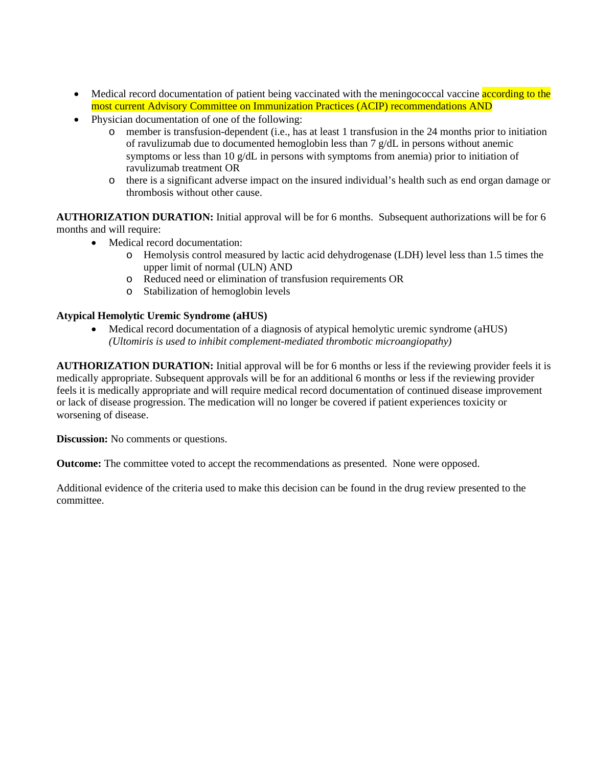- Medical record documentation of patient being vaccinated with the meningococcal vaccine according to the most current Advisory Committee on Immunization Practices (ACIP) recommendations AND
- Physician documentation of one of the following:
	- o member is transfusion-dependent (i.e., has at least 1 transfusion in the 24 months prior to initiation of ravulizumab due to documented hemoglobin less than 7 g/dL in persons without anemic symptoms or less than 10 g/dL in persons with symptoms from anemia) prior to initiation of ravulizumab treatment OR
	- o there is a significant adverse impact on the insured individual's health such as end organ damage or thrombosis without other cause.

**AUTHORIZATION DURATION:** Initial approval will be for 6 months. Subsequent authorizations will be for 6 months and will require:

- Medical record documentation:
	- o Hemolysis control measured by lactic acid dehydrogenase (LDH) level less than 1.5 times the upper limit of normal (ULN) AND
	- o Reduced need or elimination of transfusion requirements OR
	- o Stabilization of hemoglobin levels

### **Atypical Hemolytic Uremic Syndrome (aHUS)**

• Medical record documentation of a diagnosis of atypical hemolytic uremic syndrome (aHUS) *(Ultomiris is used to inhibit complement-mediated thrombotic microangiopathy)*

**AUTHORIZATION DURATION:** Initial approval will be for 6 months or less if the reviewing provider feels it is medically appropriate. Subsequent approvals will be for an additional 6 months or less if the reviewing provider feels it is medically appropriate and will require medical record documentation of continued disease improvement or lack of disease progression. The medication will no longer be covered if patient experiences toxicity or worsening of disease.

**Discussion:** No comments or questions.

**Outcome:** The committee voted to accept the recommendations as presented. None were opposed.

Additional evidence of the criteria used to make this decision can be found in the drug review presented to the committee.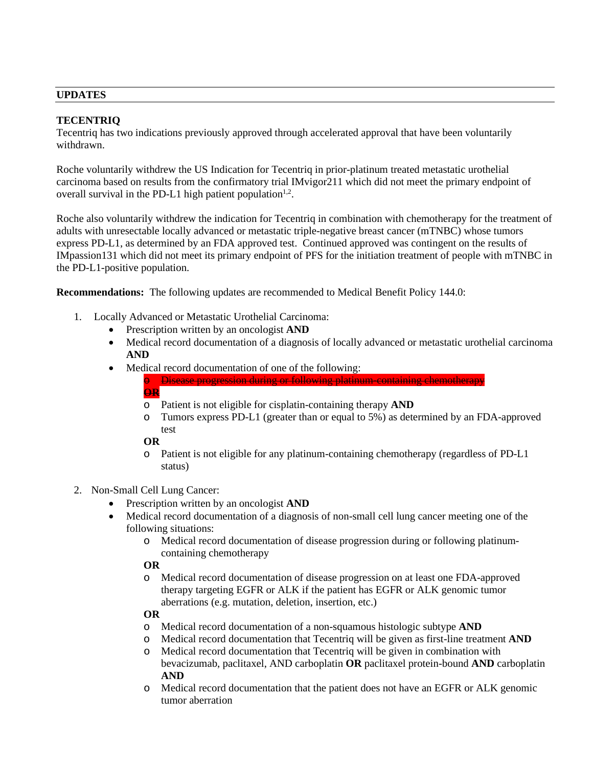### **UPDATES**

### **TECENTRIQ**

Tecentriq has two indications previously approved through accelerated approval that have been voluntarily withdrawn.

Roche voluntarily withdrew the US Indication for Tecentriq in prior-platinum treated metastatic urothelial carcinoma based on results from the confirmatory trial IMvigor211 which did not meet the primary endpoint of overall survival in the PD-L1 high patient population<sup>1,2</sup>.

Roche also voluntarily withdrew the indication for Tecentriq in combination with chemotherapy for the treatment of adults with unresectable locally advanced or metastatic triple-negative breast cancer (mTNBC) whose tumors express PD-L1, as determined by an FDA approved test. Continued approved was contingent on the results of IMpassion131 which did not meet its primary endpoint of PFS for the initiation treatment of people with mTNBC in the PD-L1-positive population.

**Recommendations:** The following updates are recommended to Medical Benefit Policy 144.0:

- 1. Locally Advanced or Metastatic Urothelial Carcinoma:
	- Prescription written by an oncologist **AND**
	- Medical record documentation of a diagnosis of locally advanced or metastatic urothelial carcinoma **AND**
	- Medical record documentation of one of the following:

o Disease progression during or following platinum-containing chemotherapy **OR**

- o Patient is not eligible for cisplatin-containing therapy **AND**
- o Tumors express PD-L1 (greater than or equal to 5%) as determined by an FDA-approved test

#### **OR**

- o Patient is not eligible for any platinum-containing chemotherapy (regardless of PD-L1 status)
- 2. Non-Small Cell Lung Cancer:
	- Prescription written by an oncologist **AND**
	- Medical record documentation of a diagnosis of non-small cell lung cancer meeting one of the following situations:
		- o Medical record documentation of disease progression during or following platinumcontaining chemotherapy

### **OR**

o Medical record documentation of disease progression on at least one FDA-approved therapy targeting EGFR or ALK if the patient has EGFR or ALK genomic tumor aberrations (e.g. mutation, deletion, insertion, etc.)

# **OR**

- o Medical record documentation of a non-squamous histologic subtype **AND**
- o Medical record documentation that Tecentriq will be given as first-line treatment **AND**
- o Medical record documentation that Tecentriq will be given in combination with bevacizumab, paclitaxel, AND carboplatin **OR** paclitaxel protein-bound **AND** carboplatin **AND**
- o Medical record documentation that the patient does not have an EGFR or ALK genomic tumor aberration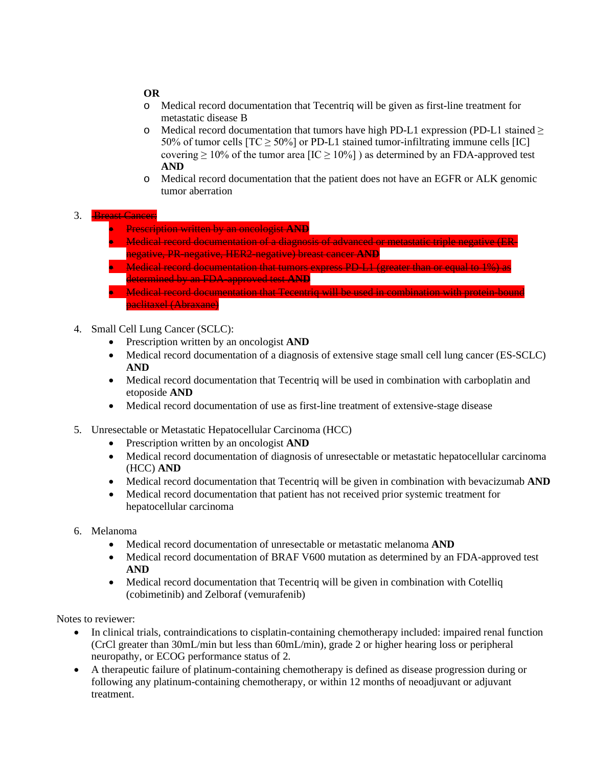### **OR**

- o Medical record documentation that Tecentriq will be given as first-line treatment for metastatic disease B
- o Medical record documentation that tumors have high PD-L1 expression (PD-L1 stained  $\geq$ 50% of tumor cells  $[TC \ge 50\%]$  or PD-L1 stained tumor-infiltrating immune cells  $[IC]$ covering  $\geq 10\%$  of the tumor area [IC  $\geq 10\%$ ] ) as determined by an FDA-approved test **AND**
- o Medical record documentation that the patient does not have an EGFR or ALK genomic tumor aberration

### 3. Breast Cancer:

- Prescription written by an oncologist **AND**
- Medical record documentation of a diagnosis of advanced or metastatic triple negative (ERnegative, PR-negative, HER2-negative) breast cancer **AND**
- Medical record documentation that tumors express PD-L1 (greater than or equal to 1%) as determined by an FDA-approved test **AND**
- **Medical record documentation that Tecentriq will be used in combination with protein-bound** paclitaxel (Abraxane)
- 4. Small Cell Lung Cancer (SCLC):
	- Prescription written by an oncologist **AND**
	- Medical record documentation of a diagnosis of extensive stage small cell lung cancer (ES-SCLC) **AND**
	- Medical record documentation that Tecentriq will be used in combination with carboplatin and etoposide **AND**
	- Medical record documentation of use as first-line treatment of extensive-stage disease
- 5. Unresectable or Metastatic Hepatocellular Carcinoma (HCC)
	- Prescription written by an oncologist **AND**
	- Medical record documentation of diagnosis of unresectable or metastatic hepatocellular carcinoma (HCC) **AND**
	- Medical record documentation that Tecentriq will be given in combination with bevacizumab **AND**
	- Medical record documentation that patient has not received prior systemic treatment for hepatocellular carcinoma
- 6. Melanoma
	- Medical record documentation of unresectable or metastatic melanoma **AND**
	- Medical record documentation of BRAF V600 mutation as determined by an FDA-approved test **AND**
	- Medical record documentation that Tecentriq will be given in combination with Cotelliq (cobimetinib) and Zelboraf (vemurafenib)

Notes to reviewer:

- In clinical trials, contraindications to cisplatin-containing chemotherapy included: impaired renal function (CrCl greater than 30mL/min but less than 60mL/min), grade 2 or higher hearing loss or peripheral neuropathy, or ECOG performance status of 2.
- A therapeutic failure of platinum-containing chemotherapy is defined as disease progression during or following any platinum-containing chemotherapy, or within 12 months of neoadjuvant or adjuvant treatment.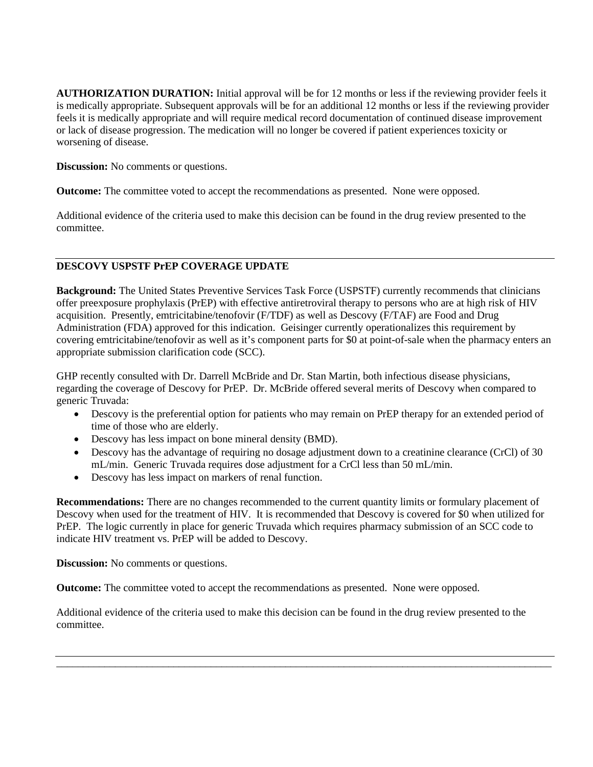**AUTHORIZATION DURATION:** Initial approval will be for 12 months or less if the reviewing provider feels it is medically appropriate. Subsequent approvals will be for an additional 12 months or less if the reviewing provider feels it is medically appropriate and will require medical record documentation of continued disease improvement or lack of disease progression. The medication will no longer be covered if patient experiences toxicity or worsening of disease.

**Discussion:** No comments or questions.

**Outcome:** The committee voted to accept the recommendations as presented. None were opposed.

Additional evidence of the criteria used to make this decision can be found in the drug review presented to the committee.

# **DESCOVY USPSTF PrEP COVERAGE UPDATE**

**Background:** The United States Preventive Services Task Force (USPSTF) currently recommends that clinicians offer preexposure prophylaxis (PrEP) with effective antiretroviral therapy to persons who are at high risk of HIV acquisition. Presently, emtricitabine/tenofovir (F/TDF) as well as Descovy (F/TAF) are Food and Drug Administration (FDA) approved for this indication. Geisinger currently operationalizes this requirement by covering emtricitabine/tenofovir as well as it's component parts for \$0 at point-of-sale when the pharmacy enters an appropriate submission clarification code (SCC).

GHP recently consulted with Dr. Darrell McBride and Dr. Stan Martin, both infectious disease physicians, regarding the coverage of Descovy for PrEP. Dr. McBride offered several merits of Descovy when compared to generic Truvada:

- Descovy is the preferential option for patients who may remain on PrEP therapy for an extended period of time of those who are elderly.
- Descovy has less impact on bone mineral density (BMD).
- Descovy has the advantage of requiring no dosage adjustment down to a creatinine clearance (CrCl) of 30 mL/min. Generic Truvada requires dose adjustment for a CrCl less than 50 mL/min.
- Descovy has less impact on markers of renal function.

**Recommendations:** There are no changes recommended to the current quantity limits or formulary placement of Descovy when used for the treatment of HIV. It is recommended that Descovy is covered for \$0 when utilized for PrEP. The logic currently in place for generic Truvada which requires pharmacy submission of an SCC code to indicate HIV treatment vs. PrEP will be added to Descovy.

**Discussion:** No comments or questions.

**Outcome:** The committee voted to accept the recommendations as presented. None were opposed.

Additional evidence of the criteria used to make this decision can be found in the drug review presented to the committee.

\_\_\_\_\_\_\_\_\_\_\_\_\_\_\_\_\_\_\_\_\_\_\_\_\_\_\_\_\_\_\_\_\_\_\_\_\_\_\_\_\_\_\_\_\_\_\_\_\_\_\_\_\_\_\_\_\_\_\_\_\_\_\_\_\_\_\_\_\_\_\_\_\_\_\_\_\_\_\_\_\_\_\_\_\_\_\_\_\_\_\_\_\_